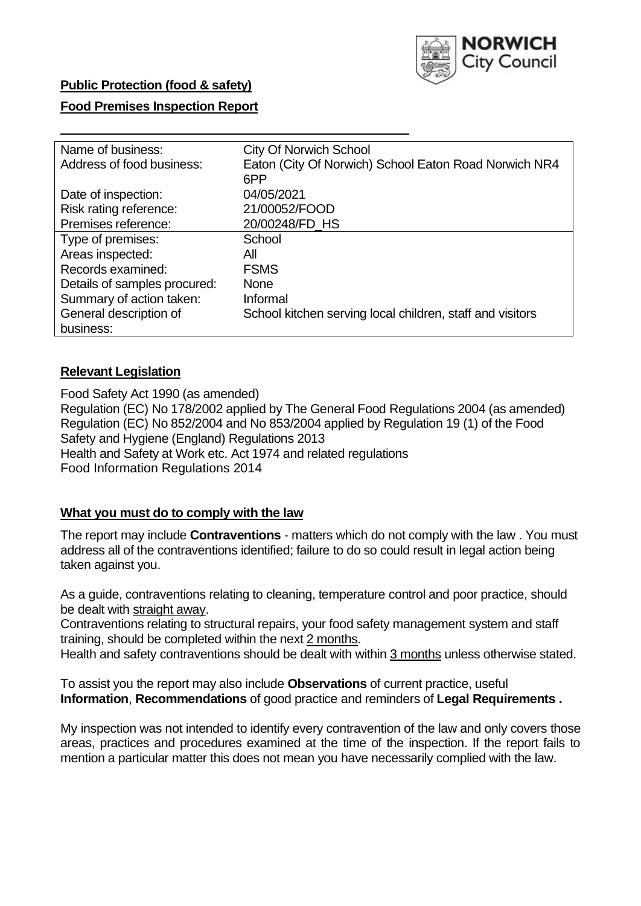

## **Public Protection (food & safety)**

## **Food Premises Inspection Report**

| Name of business:            | <b>City Of Norwich School</b>                             |  |  |  |  |
|------------------------------|-----------------------------------------------------------|--|--|--|--|
| Address of food business:    | Eaton (City Of Norwich) School Eaton Road Norwich NR4     |  |  |  |  |
|                              | 6PP                                                       |  |  |  |  |
| Date of inspection:          | 04/05/2021                                                |  |  |  |  |
| Risk rating reference:       | 21/00052/FOOD                                             |  |  |  |  |
| Premises reference:          | 20/00248/FD HS                                            |  |  |  |  |
| Type of premises:            | School                                                    |  |  |  |  |
| Areas inspected:             | All                                                       |  |  |  |  |
| Records examined:            | <b>FSMS</b>                                               |  |  |  |  |
| Details of samples procured: | <b>None</b>                                               |  |  |  |  |
| Summary of action taken:     | Informal                                                  |  |  |  |  |
| General description of       | School kitchen serving local children, staff and visitors |  |  |  |  |
| business:                    |                                                           |  |  |  |  |

## **Relevant Legislation**

 Food Safety Act 1990 (as amended) Regulation (EC) No 178/2002 applied by The General Food Regulations 2004 (as amended) Regulation (EC) No 852/2004 and No 853/2004 applied by Regulation 19 (1) of the Food Safety and Hygiene (England) Regulations 2013 Health and Safety at Work etc. Act 1974 and related regulations Food Information Regulations 2014

## **What you must do to comply with the law**

 The report may include **Contraventions** - matters which do not comply with the law . You must address all of the contraventions identified; failure to do so could result in legal action being taken against you.

 As a guide, contraventions relating to cleaning, temperature control and poor practice, should be dealt with straight away.

 Contraventions relating to structural repairs, your food safety management system and staff training, should be completed within the next 2 months.

Health and safety contraventions should be dealt with within 3 months unless otherwise stated.

 To assist you the report may also include **Observations** of current practice, useful **Information**, **Recommendations** of good practice and reminders of **Legal Requirements .** 

 My inspection was not intended to identify every contravention of the law and only covers those areas, practices and procedures examined at the time of the inspection. If the report fails to mention a particular matter this does not mean you have necessarily complied with the law.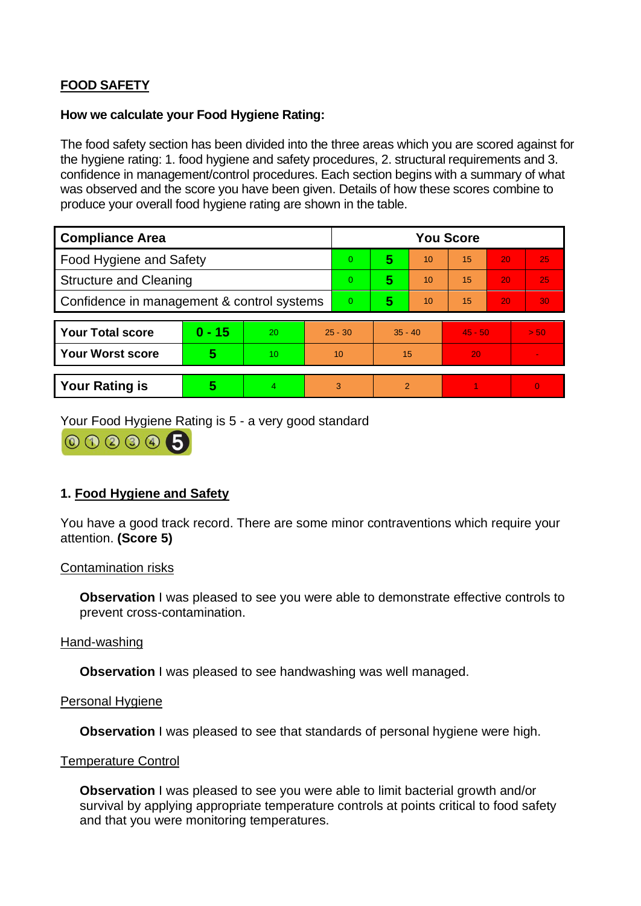# **FOOD SAFETY**

### **How we calculate your Food Hygiene Rating:**

 The food safety section has been divided into the three areas which you are scored against for the hygiene rating: 1. food hygiene and safety procedures, 2. structural requirements and 3. confidence in management/control procedures. Each section begins with a summary of what was observed and the score you have been given. Details of how these scores combine to produce your overall food hygiene rating are shown in the table.

| <b>Compliance Area</b>                     |          |    |                | <b>You Score</b> |               |    |           |    |                |  |  |
|--------------------------------------------|----------|----|----------------|------------------|---------------|----|-----------|----|----------------|--|--|
| <b>Food Hygiene and Safety</b>             |          |    | $\Omega$       | 5                | 10            | 15 | 20        | 25 |                |  |  |
| <b>Structure and Cleaning</b>              |          |    | $\Omega$       | 5                | 10            | 15 | 20        | 25 |                |  |  |
| Confidence in management & control systems |          |    | $\overline{0}$ | 5                | 10            | 15 | 20        | 30 |                |  |  |
|                                            |          |    |                |                  |               |    |           |    |                |  |  |
| <b>Your Total score</b>                    | $0 - 15$ | 20 | $25 - 30$      |                  | $35 - 40$     |    | $45 - 50$ |    | > 50           |  |  |
| <b>Your Worst score</b>                    | 5        | 10 | 10             |                  | 15            |    | 20        |    | $\sim$         |  |  |
|                                            |          |    |                |                  |               |    |           |    |                |  |  |
| <b>Your Rating is</b>                      | 5        | 4  | 3              |                  | $\mathcal{P}$ |    |           |    | $\overline{0}$ |  |  |

Your Food Hygiene Rating is 5 - a very good standard

000005

## **1. Food Hygiene and Safety**

You have a good track record. There are some minor contraventions which require your attention. **(Score 5)** 

### Contamination risks

**Observation** I was pleased to see you were able to demonstrate effective controls to prevent cross-contamination.

### Hand-washing

**Observation I** was pleased to see handwashing was well managed.

### Personal Hygiene

**Observation** I was pleased to see that standards of personal hygiene were high.

### Temperature Control

**Observation** I was pleased to see you were able to limit bacterial growth and/or survival by applying appropriate temperature controls at points critical to food safety and that you were monitoring temperatures.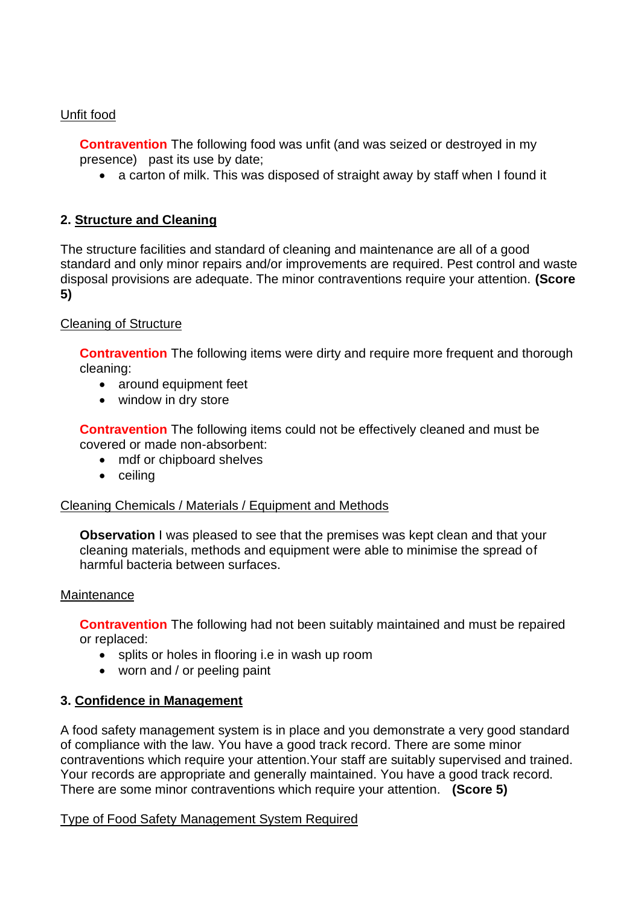## Unfit food

 presence) past its use by date; **Contravention** The following food was unfit (and was seized or destroyed in my

• a carton of milk. This was disposed of straight away by staff when I found it

## **2. Structure and Cleaning**

The structure facilities and standard of cleaning and maintenance are all of a good standard and only minor repairs and/or improvements are required. Pest control and waste disposal provisions are adequate. The minor contraventions require your attention. **(Score 5)** 

## Cleaning of Structure

**Contravention** The following items were dirty and require more frequent and thorough cleaning:

- around equipment feet
- window in dry store

**Contravention** The following items could not be effectively cleaned and must be covered or made non-absorbent:

- mdf or chipboard shelves
- ceiling

## Cleaning Chemicals / Materials / Equipment and Methods

**Observation** I was pleased to see that the premises was kept clean and that your cleaning materials, methods and equipment were able to minimise the spread of harmful bacteria between surfaces.

## **Maintenance**

**Contravention** The following had not been suitably maintained and must be repaired or replaced:

- splits or holes in flooring i.e in wash up room
- worn and / or peeling paint

## **3. Confidence in Management**

 of compliance with the law. You have a good track record. There are some minor Your records are appropriate and generally maintained. You have a good track record. A food safety management system is in place and you demonstrate a very good standard contraventions which require your attention.Your staff are suitably supervised and trained. There are some minor contraventions which require your attention. **(Score 5)** 

## Type of Food Safety Management System Required